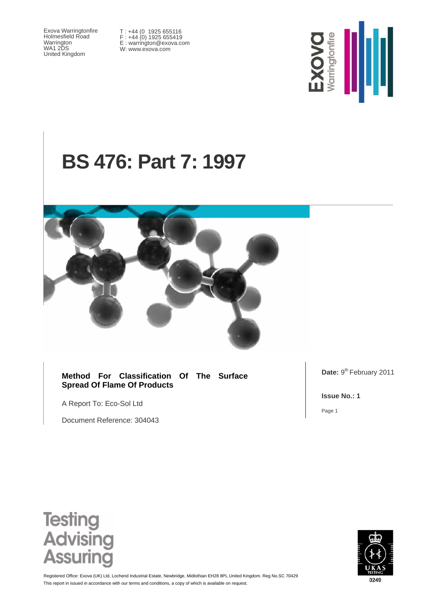Exova Warringtonfire Holmesfield Road Warrington WA1 2DS United Kingdom

T : +44 (0 1925 655116 F : +44 (0) 1925 655419 E : warrington@exova.com W: www.exova.com



# **BS 476: Part 7: 1997**



**Method For Classification Of The Surface Spread Of Flame Of Products** 

A Report To: Eco-Sol Ltd

Document Reference: 304043

Date: 9<sup>th</sup> February 2011

**Issue No.: 1** 

Page 1





This report in issued in accordance with our terms and conditions, a copy of which is available on request. Registered Office: Exova (UK) Ltd, Lochend Industrial Estate, Newbridge, Midlothian EH28 8PL United Kingdom. Reg No.SC 70429

0249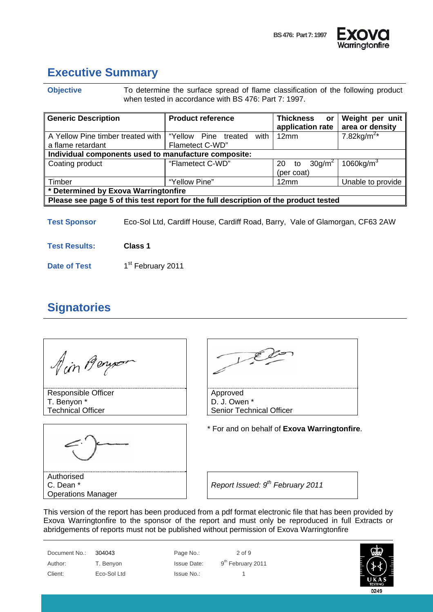

# **Executive Summary**

**Objective** To determine the surface spread of flame classification of the following product when tested in accordance with BS 476: Part 7: 1997.

| <b>Generic Description</b>                                                           | <b>Product reference</b>     | <b>Thickness</b><br><b>or</b><br>application rate | Weight per unit<br>area or density |  |  |  |
|--------------------------------------------------------------------------------------|------------------------------|---------------------------------------------------|------------------------------------|--|--|--|
| A Yellow Pine timber treated with                                                    | with<br>"Yellow Pine treated | 12mm                                              | 7.82kg/m <sup>2*</sup>             |  |  |  |
| a flame retardant                                                                    | Flametect C-WD"              |                                                   |                                    |  |  |  |
| Individual components used to manufacture composite:                                 |                              |                                                   |                                    |  |  |  |
| Coating product                                                                      | "Flametect C-WD"             | 30q/m <sup>2</sup><br>20<br>to<br>(per coat)      | 1060 $kg/m3$                       |  |  |  |
| Timber                                                                               | "Yellow Pine"                | 12mm                                              | Unable to provide                  |  |  |  |
| * Determined by Exova Warringtonfire                                                 |                              |                                                   |                                    |  |  |  |
| Please see page 5 of this test report for the full description of the product tested |                              |                                                   |                                    |  |  |  |

**Test Sponsor** Eco-Sol Ltd, Cardiff House, Cardiff Road, Barry, Vale of Glamorgan, CF63 2AW

**Test Results: Class 1** 

**Date of Test** 1<sup>st</sup> February 2011

#### **Signatories**

Ain Benyo

Responsible Officer T. Benyon \* Technical Officer



Authorised C. Dean \* Operations Manager

Approved D. J. Owen \*

Senior Technical Officer

\* For and on behalf of **Exova Warringtonfire**.

*Report Issued: 9th February 2011* 

This version of the report has been produced from a pdf format electronic file that has been provided by Exova Warringtonfire to the sponsor of the report and must only be reproduced in full Extracts or abridgements of reports must not be published without permission of Exova Warringtonfire

Document No.: 304043 Page No.: 2 of 9 Author: T. Benyon Issue Date: 9<sup>th</sup> February 2011 Client: Eco-Sol Ltd Issue No.: 1

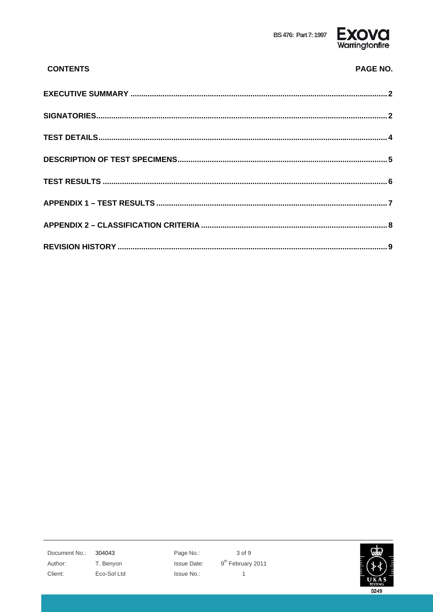

| <b>CONTENTS</b> | <b>PAGE NO.</b> |
|-----------------|-----------------|
|                 |                 |
|                 |                 |
|                 |                 |
|                 |                 |
|                 |                 |
|                 |                 |
|                 |                 |
|                 |                 |

Document No.: 304043 Author: T. Benyon Client: Eco-Sol Ltd Page No.: Issue Date: Issue No.:

3 of 9  $9^{th}$  February 2011  $\mathbf 1$ 

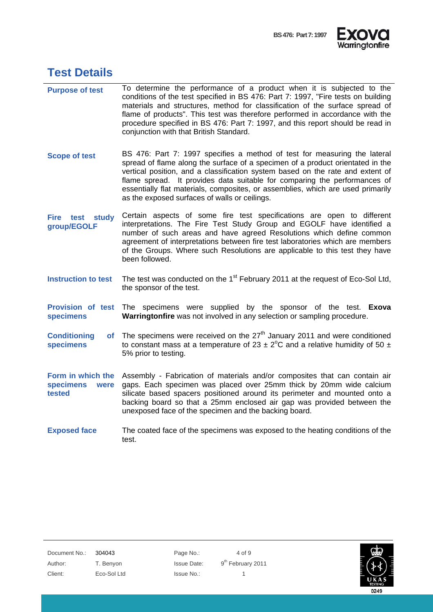



#### **Test Details**

- **Purpose of test** To determine the performance of a product when it is subjected to the conditions of the test specified in BS 476: Part 7: 1997, "Fire tests on building materials and structures, method for classification of the surface spread of flame of products". This test was therefore performed in accordance with the procedure specified in BS 476: Part 7: 1997, and this report should be read in conjunction with that British Standard.
- **Scope of test** BS 476: Part 7: 1997 specifies a method of test for measuring the lateral spread of flame along the surface of a specimen of a product orientated in the vertical position, and a classification system based on the rate and extent of flame spread. It provides data suitable for comparing the performances of essentially flat materials, composites, or assemblies, which are used primarily as the exposed surfaces of walls or ceilings.
- **Fire test study group/EGOLF**  Certain aspects of some fire test specifications are open to different interpretations. The Fire Test Study Group and EGOLF have identified a number of such areas and have agreed Resolutions which define common agreement of interpretations between fire test laboratories which are members of the Groups. Where such Resolutions are applicable to this test they have been followed.
- **Instruction to test** The test was conducted on the 1<sup>st</sup> February 2011 at the request of Eco-Sol Ltd, the sponsor of the test.
- **Provision of test**  The specimens were supplied by the sponsor of the test. **Exova specimens Warringtonfire** was not involved in any selection or sampling procedure.
- **Conditioning specimens**  of The specimens were received on the  $27<sup>th</sup>$  January 2011 and were conditioned to constant mass at a temperature of 23  $\pm$  2°C and a relative humidity of 50  $\pm$ 5% prior to testing.
- **Form in which the**  Assembly Fabrication of materials and/or composites that can contain air **specimens were tested**  gaps. Each specimen was placed over 25mm thick by 20mm wide calcium silicate based spacers positioned around its perimeter and mounted onto a backing board so that a 25mm enclosed air gap was provided between the unexposed face of the specimen and the backing board.
- **Exposed face** The coated face of the specimens was exposed to the heating conditions of the test.

Document No.: 304043 Page No.: 4 of 9 Author: T. Benyon Issue Date: 9<sup>th</sup> February 2011 Client: Eco-Sol Ltd Issue No.: 1

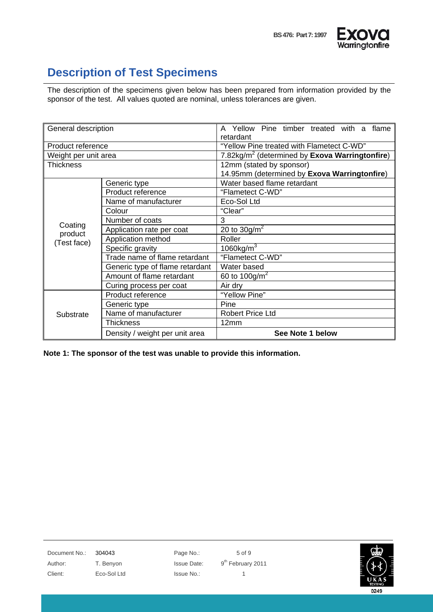

## **Description of Test Specimens**

The description of the specimens given below has been prepared from information provided by the sponsor of the test. All values quoted are nominal, unless tolerances are given.

| General description    |                                       | A Yellow Pine timber treated with a flame<br>retardant |  |  |
|------------------------|---------------------------------------|--------------------------------------------------------|--|--|
| Product reference      |                                       | "Yellow Pine treated with Flametect C-WD"              |  |  |
| Weight per unit area   |                                       | 7.82 $kg/m2$ (determined by Exova Warringtonfire)      |  |  |
| <b>Thickness</b>       |                                       | 12mm (stated by sponsor)                               |  |  |
|                        |                                       | 14.95mm (determined by Exova Warringtonfire)           |  |  |
|                        | Generic type                          | Water based flame retardant                            |  |  |
|                        | "Flametect C-WD"<br>Product reference |                                                        |  |  |
|                        | Name of manufacturer                  | Eco-Sol Ltd                                            |  |  |
|                        | Colour                                | "Clear"                                                |  |  |
|                        | Number of coats                       | 3                                                      |  |  |
| Coating                | Application rate per coat             | 20 to $30 g/m^2$                                       |  |  |
| product<br>(Test face) | Application method                    | Roller                                                 |  |  |
|                        | Specific gravity                      | 1060 $kg/m^3$                                          |  |  |
|                        | Trade name of flame retardant         | "Flametect C-WD"                                       |  |  |
|                        | Generic type of flame retardant       | Water based                                            |  |  |
|                        | Amount of flame retardant             | 60 to 100g/m <sup>2</sup>                              |  |  |
|                        | Curing process per coat               | Air dry                                                |  |  |
| Substrate              | Product reference                     | "Yellow Pine"                                          |  |  |
|                        | Generic type                          | Pine                                                   |  |  |
|                        | Name of manufacturer                  | <b>Robert Price Ltd</b>                                |  |  |
|                        | <b>Thickness</b>                      | 12mm                                                   |  |  |
|                        | Density / weight per unit area        | See Note 1 below                                       |  |  |

**Note 1: The sponsor of the test was unable to provide this information.** 

Document No.: 304043 Page No.: 5 of 9 Author: T. Benyon Issue Date: 9<sup>th</sup> February 2011 Client: Eco-Sol Ltd Issue No.: 1

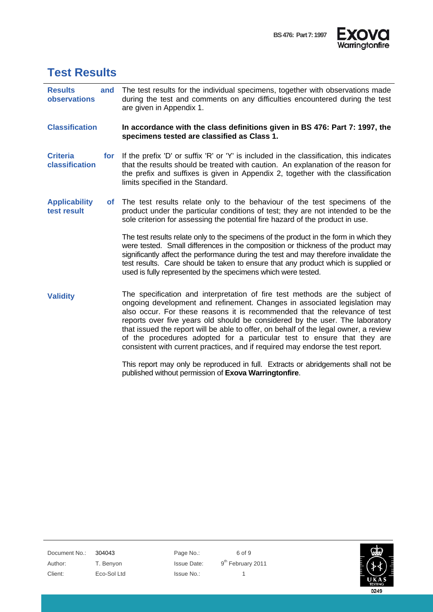



### **Test Results**

**Results and observations**  The test results for the individual specimens, together with observations made during the test and comments on any difficulties encountered during the test are given in Appendix 1.

**Classification In accordance with the class definitions given in BS 476: Part 7: 1997, the specimens tested are classified as Class 1.** 

**Criteria for classification**  If the prefix 'D' or suffix 'R' or 'Y' is included in the classification, this indicates that the results should be treated with caution. An explanation of the reason for the prefix and suffixes is given in Appendix 2, together with the classification limits specified in the Standard.

**Applicability of test result**  The test results relate only to the behaviour of the test specimens of the product under the particular conditions of test; they are not intended to be the sole criterion for assessing the potential fire hazard of the product in use.

> The test results relate only to the specimens of the product in the form in which they were tested. Small differences in the composition or thickness of the product may significantly affect the performance during the test and may therefore invalidate the test results. Care should be taken to ensure that any product which is supplied or used is fully represented by the specimens which were tested.

**Validity** The specification and interpretation of fire test methods are the subject of ongoing development and refinement. Changes in associated legislation may also occur. For these reasons it is recommended that the relevance of test reports over five years old should be considered by the user. The laboratory that issued the report will be able to offer, on behalf of the legal owner, a review of the procedures adopted for a particular test to ensure that they are consistent with current practices, and if required may endorse the test report.

> This report may only be reproduced in full. Extracts or abridgements shall not be published without permission of **Exova Warringtonfire**.

Document No.: 304043 Page No.: 6 of 9 Author: T. Benyon Issue Date: 9<sup>th</sup> February 2011 Client: Eco-Sol Ltd Issue No.: 1

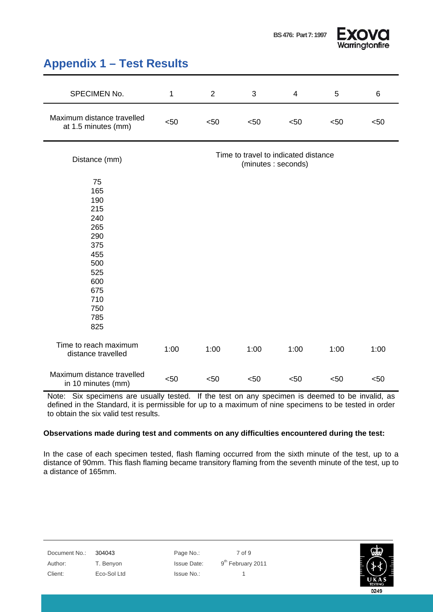



#### **Appendix 1 – Test Results**

| SPECIMEN No.                                                                                                       | $\mathbf{1}$                                               | $\overline{2}$ | 3    | $\overline{4}$ | 5    | 6    |
|--------------------------------------------------------------------------------------------------------------------|------------------------------------------------------------|----------------|------|----------------|------|------|
| Maximum distance travelled<br>at 1.5 minutes (mm)                                                                  | < 50                                                       | < 50           | < 50 | < 50           | < 50 | < 50 |
| Distance (mm)                                                                                                      | Time to travel to indicated distance<br>(minutes: seconds) |                |      |                |      |      |
| 75<br>165<br>190<br>215<br>240<br>265<br>290<br>375<br>455<br>500<br>525<br>600<br>675<br>710<br>750<br>785<br>825 |                                                            |                |      |                |      |      |
| Time to reach maximum<br>distance travelled                                                                        | 1:00                                                       | 1:00           | 1:00 | 1:00           | 1:00 | 1:00 |
| Maximum distance travelled<br>in 10 minutes (mm)                                                                   | < 50                                                       | < 50           | $50$ | < 50           | $50$ | < 50 |

Note: Six specimens are usually tested. If the test on any specimen is deemed to be invalid, as defined in the Standard, it is permissible for up to a maximum of nine specimens to be tested in order to obtain the six valid test results.

#### **Observations made during test and comments on any difficulties encountered during the test:**

In the case of each specimen tested, flash flaming occurred from the sixth minute of the test, up to a distance of 90mm. This flash flaming became transitory flaming from the seventh minute of the test, up to a distance of 165mm.

Document No.: 304043 Page No.: 7 of 9 Author: T. Benyon Issue Date: 9<sup>th</sup> February 2011 Client: Eco-Sol Ltd Issue No.: 1

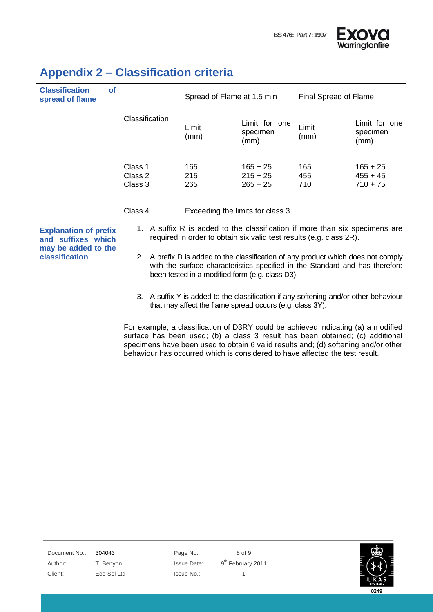



| <b>Classification</b><br>spread of flame | <b>of</b> |                               | Spread of Flame at 1.5 min |                                        | Final Spread of Flame |                                        |
|------------------------------------------|-----------|-------------------------------|----------------------------|----------------------------------------|-----------------------|----------------------------------------|
|                                          |           | Classification                | Limit<br>(mm)              | Limit for one<br>specimen<br>(mm)      | Limit<br>(mm)         | Limit for one<br>specimen<br>(mm)      |
|                                          |           | Class 1<br>Class 2<br>Class 3 | 165<br>215<br>265          | $165 + 25$<br>$215 + 25$<br>$265 + 25$ | 165<br>455<br>710     | $165 + 25$<br>$455 + 45$<br>$710 + 75$ |
| Class 4                                  |           |                               |                            | Exceeding the limits for class 3       |                       |                                        |

#### **Appendix 2 – Classification criteria**

**Explanation of prefix and suffixes which may be added to the classification** 

- 1. A suffix R is added to the classification if more than six specimens are required in order to obtain six valid test results (e.g. class 2R).
- 2. A prefix D is added to the classification of any product which does not comply with the surface characteristics specified in the Standard and has therefore been tested in a modified form (e.g. class D3).
- 3. A suffix Y is added to the classification if any softening and/or other behaviour that may affect the flame spread occurs (e.g. class 3Y).

For example, a classification of D3RY could be achieved indicating (a) a modified surface has been used; (b) a class 3 result has been obtained; (c) additional specimens have been used to obtain 6 valid results and; (d) softening and/or other behaviour has occurred which is considered to have affected the test result.

Document No.: 304043 Page No.: 8 of 9 Author: T. Benyon Issue Date: 9<sup>th</sup> February 2011 Client: Eco-Sol Ltd Issue No.: 1